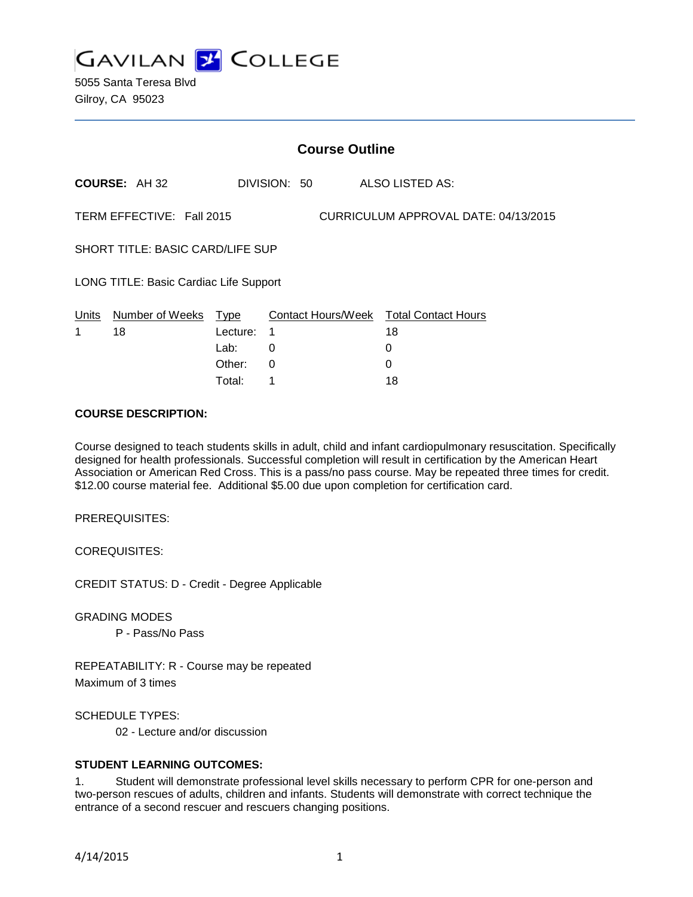

5055 Santa Teresa Blvd Gilroy, CA 95023

|                                                                   | <b>Course Outline</b> |          |              |  |  |                                        |  |
|-------------------------------------------------------------------|-----------------------|----------|--------------|--|--|----------------------------------------|--|
|                                                                   | <b>COURSE: AH 32</b>  |          | DIVISION: 50 |  |  | <b>ALSO LISTED AS:</b>                 |  |
| TERM EFFECTIVE: Fall 2015<br>CURRICULUM APPROVAL DATE: 04/13/2015 |                       |          |              |  |  |                                        |  |
| <b>SHORT TITLE: BASIC CARD/LIFE SUP</b>                           |                       |          |              |  |  |                                        |  |
| LONG TITLE: Basic Cardiac Life Support                            |                       |          |              |  |  |                                        |  |
| Units                                                             | Number of Weeks       | Type     |              |  |  | Contact Hours/Week Total Contact Hours |  |
| 1                                                                 | 18                    | Lecture: | 1            |  |  | 18                                     |  |
|                                                                   |                       | Lab:     | 0            |  |  | 0                                      |  |
|                                                                   |                       | Other:   | 0            |  |  |                                        |  |

Total: 1 18

#### **COURSE DESCRIPTION:**

Course designed to teach students skills in adult, child and infant cardiopulmonary resuscitation. Specifically designed for health professionals. Successful completion will result in certification by the American Heart Association or American Red Cross. This is a pass/no pass course. May be repeated three times for credit. \$12.00 course material fee. Additional \$5.00 due upon completion for certification card.

PREREQUISITES:

COREQUISITES:

CREDIT STATUS: D - Credit - Degree Applicable

GRADING MODES

P - Pass/No Pass

REPEATABILITY: R - Course may be repeated Maximum of 3 times

SCHEDULE TYPES:

02 - Lecture and/or discussion

# **STUDENT LEARNING OUTCOMES:**

1. Student will demonstrate professional level skills necessary to perform CPR for one-person and two-person rescues of adults, children and infants. Students will demonstrate with correct technique the entrance of a second rescuer and rescuers changing positions.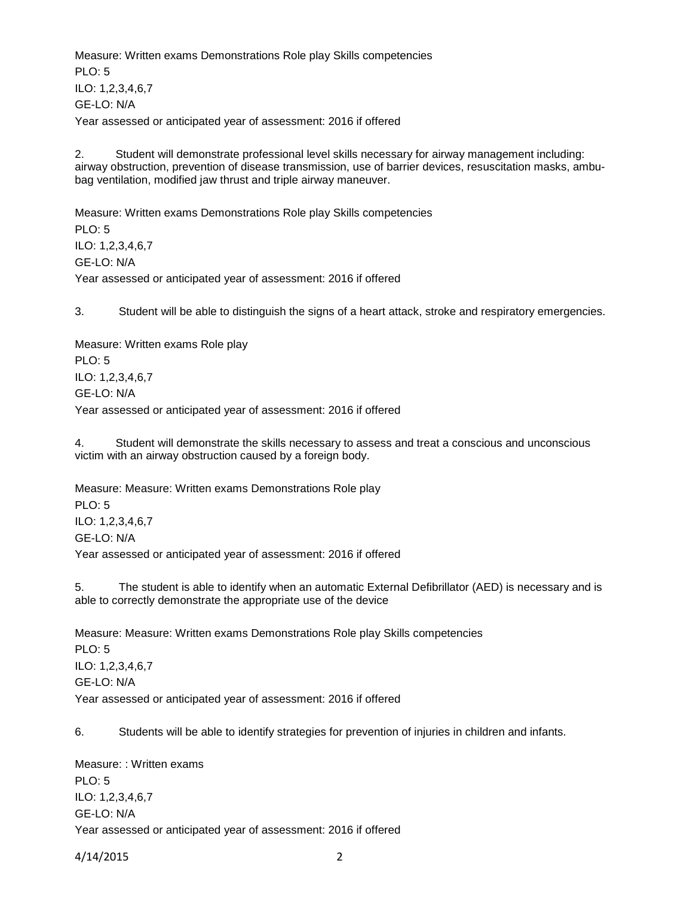Measure: Written exams Demonstrations Role play Skills competencies  $PLO: 5$ ILO: 1,2,3,4,6,7 GE-LO: N/A Year assessed or anticipated year of assessment: 2016 if offered

2. Student will demonstrate professional level skills necessary for airway management including: airway obstruction, prevention of disease transmission, use of barrier devices, resuscitation masks, ambubag ventilation, modified jaw thrust and triple airway maneuver.

Measure: Written exams Demonstrations Role play Skills competencies PLO: 5 ILO: 1,2,3,4,6,7 GE-LO: N/A Year assessed or anticipated year of assessment: 2016 if offered

3. Student will be able to distinguish the signs of a heart attack, stroke and respiratory emergencies.

Measure: Written exams Role play PLO: 5 ILO: 1,2,3,4,6,7 GE-LO: N/A Year assessed or anticipated year of assessment: 2016 if offered

4. Student will demonstrate the skills necessary to assess and treat a conscious and unconscious victim with an airway obstruction caused by a foreign body.

Measure: Measure: Written exams Demonstrations Role play PLO: 5 ILO: 1,2,3,4,6,7 GE-LO: N/A Year assessed or anticipated year of assessment: 2016 if offered

5. The student is able to identify when an automatic External Defibrillator (AED) is necessary and is able to correctly demonstrate the appropriate use of the device

Measure: Measure: Written exams Demonstrations Role play Skills competencies PLO: 5 ILO: 1,2,3,4,6,7 GE-LO: N/A Year assessed or anticipated year of assessment: 2016 if offered

6. Students will be able to identify strategies for prevention of injuries in children and infants.

Measure: : Written exams PLO: 5 ILO: 1,2,3,4,6,7 GE-LO: N/A Year assessed or anticipated year of assessment: 2016 if offered

4/14/2015 2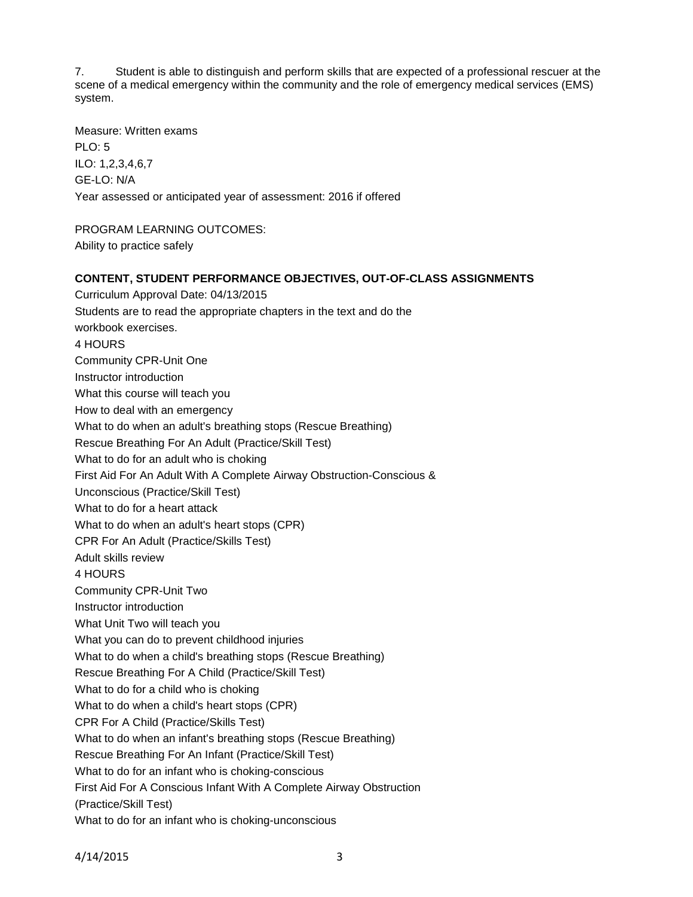7. Student is able to distinguish and perform skills that are expected of a professional rescuer at the scene of a medical emergency within the community and the role of emergency medical services (EMS) system.

Measure: Written exams PLO: 5 ILO: 1,2,3,4,6,7 GE-LO: N/A Year assessed or anticipated year of assessment: 2016 if offered

PROGRAM LEARNING OUTCOMES: Ability to practice safely

# **CONTENT, STUDENT PERFORMANCE OBJECTIVES, OUT-OF-CLASS ASSIGNMENTS**

Curriculum Approval Date: 04/13/2015 Students are to read the appropriate chapters in the text and do the workbook exercises. 4 HOURS Community CPR-Unit One Instructor introduction What this course will teach you How to deal with an emergency What to do when an adult's breathing stops (Rescue Breathing) Rescue Breathing For An Adult (Practice/Skill Test) What to do for an adult who is choking First Aid For An Adult With A Complete Airway Obstruction-Conscious & Unconscious (Practice/Skill Test) What to do for a heart attack What to do when an adult's heart stops (CPR) CPR For An Adult (Practice/Skills Test) Adult skills review 4 HOURS Community CPR-Unit Two Instructor introduction What Unit Two will teach you What you can do to prevent childhood injuries What to do when a child's breathing stops (Rescue Breathing) Rescue Breathing For A Child (Practice/Skill Test) What to do for a child who is choking What to do when a child's heart stops (CPR) CPR For A Child (Practice/Skills Test) What to do when an infant's breathing stops (Rescue Breathing) Rescue Breathing For An Infant (Practice/Skill Test) What to do for an infant who is choking-conscious First Aid For A Conscious Infant With A Complete Airway Obstruction (Practice/Skill Test) What to do for an infant who is choking-unconscious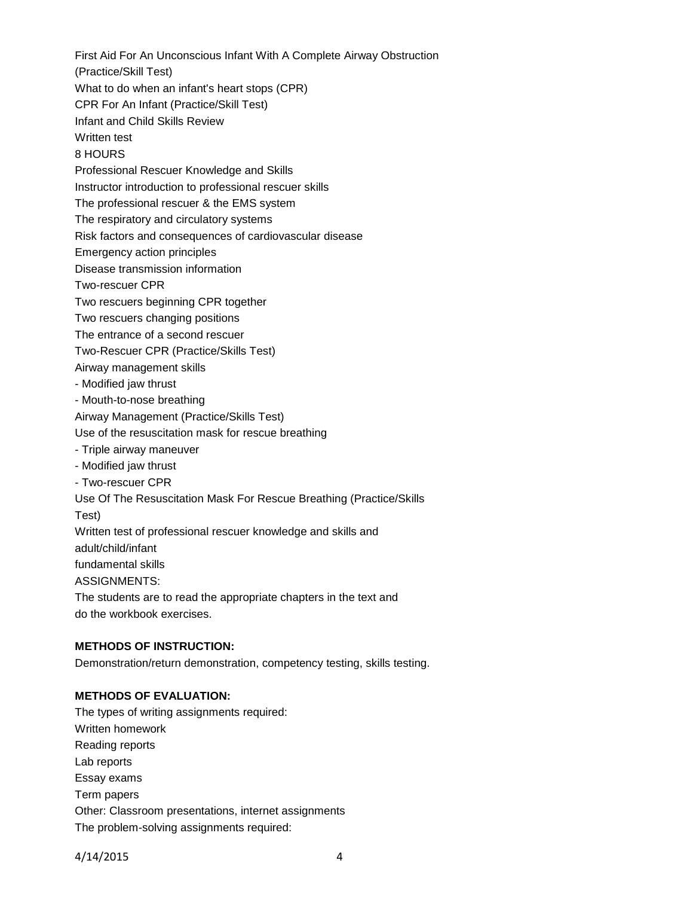First Aid For An Unconscious Infant With A Complete Airway Obstruction

(Practice/Skill Test)

What to do when an infant's heart stops (CPR)

CPR For An Infant (Practice/Skill Test)

Infant and Child Skills Review

Written test

8 HOURS

Professional Rescuer Knowledge and Skills

Instructor introduction to professional rescuer skills

The professional rescuer & the EMS system

The respiratory and circulatory systems

Risk factors and consequences of cardiovascular disease

Emergency action principles

Disease transmission information

Two-rescuer CPR

Two rescuers beginning CPR together

Two rescuers changing positions

The entrance of a second rescuer

Two-Rescuer CPR (Practice/Skills Test)

Airway management skills

- Modified jaw thrust

- Mouth-to-nose breathing

Airway Management (Practice/Skills Test)

Use of the resuscitation mask for rescue breathing

- Triple airway maneuver

- Modified jaw thrust

- Two-rescuer CPR

Use Of The Resuscitation Mask For Rescue Breathing (Practice/Skills

Test)

Written test of professional rescuer knowledge and skills and

adult/child/infant

fundamental skills

ASSIGNMENTS:

The students are to read the appropriate chapters in the text and do the workbook exercises.

# **METHODS OF INSTRUCTION:**

Demonstration/return demonstration, competency testing, skills testing.

# **METHODS OF EVALUATION:**

The types of writing assignments required: Written homework Reading reports Lab reports Essay exams Term papers Other: Classroom presentations, internet assignments The problem-solving assignments required: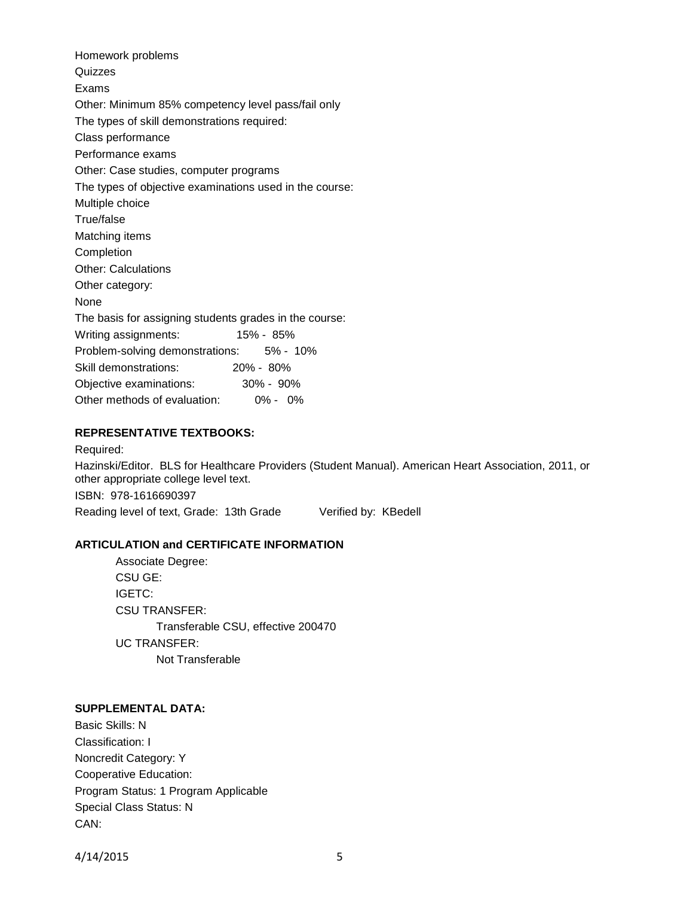Homework problems **Quizzes** Exams Other: Minimum 85% competency level pass/fail only The types of skill demonstrations required: Class performance Performance exams Other: Case studies, computer programs The types of objective examinations used in the course: Multiple choice True/false Matching items Completion Other: Calculations Other category: None The basis for assigning students grades in the course: Writing assignments: 15% - 85% Problem-solving demonstrations: 5% - 10% Skill demonstrations: 20% - 80% Objective examinations: 30% - 90% Other methods of evaluation: 0% - 0%

# **REPRESENTATIVE TEXTBOOKS:**

Required: Hazinski/Editor. BLS for Healthcare Providers (Student Manual). American Heart Association, 2011, or other appropriate college level text. ISBN: 978-1616690397 Reading level of text, Grade: 13th Grade Verified by: KBedell

#### **ARTICULATION and CERTIFICATE INFORMATION**

Associate Degree: CSU GE: IGETC: CSU TRANSFER: Transferable CSU, effective 200470 UC TRANSFER: Not Transferable

#### **SUPPLEMENTAL DATA:**

Basic Skills: N Classification: I Noncredit Category: Y Cooperative Education: Program Status: 1 Program Applicable Special Class Status: N CAN:

4/14/2015 5